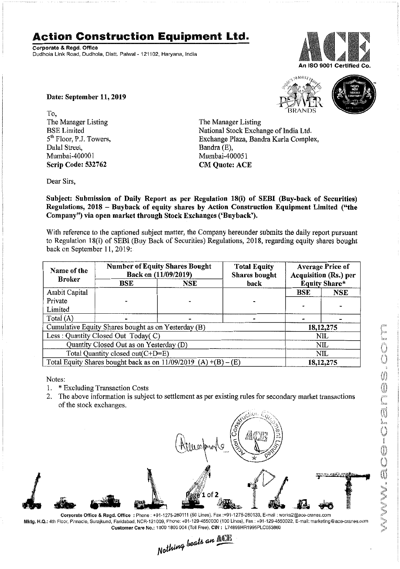## **Action Construction Equipment Ltd.**

Corporate & Regd. Office Dudhola Link Road, Dudhola, Distt. Palwal - 121102, Haryana, India



**S<sub>10</sub>MOST<sub>TRUE</sub>** 

Date: September 11,2019

To, The Manager Listing BSE Limited 5<sup>th</sup> Floor, P.J. Towers, Dalal Street, Mumbai-40000 1 Scrip Code: 532762

The Manager Listing National Stock Exchange of India Ltd. Exchange Plaza, Bandra Kurla Complex, Bandra (E), Mumbai-400051

Dear Sirs,

Subject: Submission of Daily Report as per Regulation 18(i) of SEBI (Buy-back of Securities) Regulations, 2018 - Buyback of equity shares by Action Construction Equipment Limited ("the Company") via open market through Stock Exchanges ('Buyback').

CM Quote: ACE

With reference to the captioned subject matter, the Company hereunder submits the daily report pursuant to Regulation 18(i) of SEBI (Buy Back of Securities) Regulations; 2018, regarding equity shares bought back on September 11, 2019:

| Name of the<br><b>Broker</b>                                      | <b>Number of Equity Shares Bought</b><br>Back on (11/09/2019) |            | <b>Total Equity</b><br><b>Shares bought</b> | <b>Average Price of</b><br>Acquisition (Rs.) per |             |  |
|-------------------------------------------------------------------|---------------------------------------------------------------|------------|---------------------------------------------|--------------------------------------------------|-------------|--|
|                                                                   | <b>BSE</b>                                                    | <b>NSE</b> | back                                        | <b>Equity Share*</b>                             |             |  |
| Ambit Capital                                                     |                                                               |            |                                             | <b>BSE</b>                                       | NSE         |  |
| Private                                                           |                                                               |            |                                             |                                                  |             |  |
| Limited                                                           |                                                               |            |                                             |                                                  |             |  |
| Total (A)                                                         |                                                               |            |                                             |                                                  |             |  |
| Cumulative Equity Shares bought as on Yesterday (B)               |                                                               |            |                                             |                                                  | 18, 12, 275 |  |
| Less: Quantity Closed Out Today(C)                                |                                                               |            |                                             | NIL                                              |             |  |
| Quantity Closed Out as on Yesterday (D)                           |                                                               |            |                                             | NIL                                              |             |  |
| Total Quantity closed out(C+D=E)                                  |                                                               |            |                                             | NIL                                              |             |  |
| Total Equity Shares bought back as on $11/09/2019$ (A) +(B) – (E) |                                                               |            |                                             | 18, 12, 275                                      |             |  |

Notes:

1. \* Excluding Transaction Costs

2. The above information is subject to settlement as per existing rules for secondary market transactions of the stock exchanges.



Mktg. H.C.: 4th Floor,Pinnacle, Surajkund, Faridabad. NCR·121009, Phone: +91-129-4550000 (100 Lines), Fax: +91-129-4550022,E-mail:markeling@ace·cranes.com

Customer Care No.: 1800 1800 004 (Toll Free). CIN: L74899HR1995PLC053860<br>Nathing beats an **Alli**